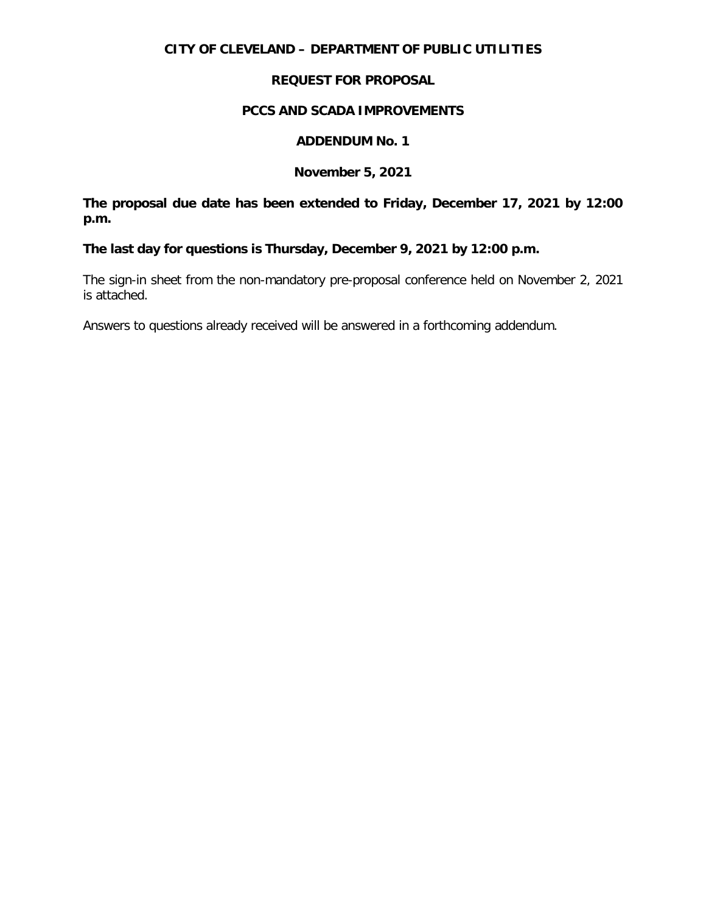# **CITY OF CLEVELAND – DEPARTMENT OF PUBLIC UTILITIES**

# **REQUEST FOR PROPOSAL**

## **PCCS AND SCADA IMPROVEMENTS**

## **ADDENDUM No. 1**

## **November 5, 2021**

**The proposal due date has been extended to Friday, December 17, 2021 by 12:00 p.m.**

**The last day for questions is Thursday, December 9, 2021 by 12:00 p.m.**

The sign-in sheet from the non-mandatory pre-proposal conference held on November 2, 2021 is attached.

Answers to questions already received will be answered in a forthcoming addendum.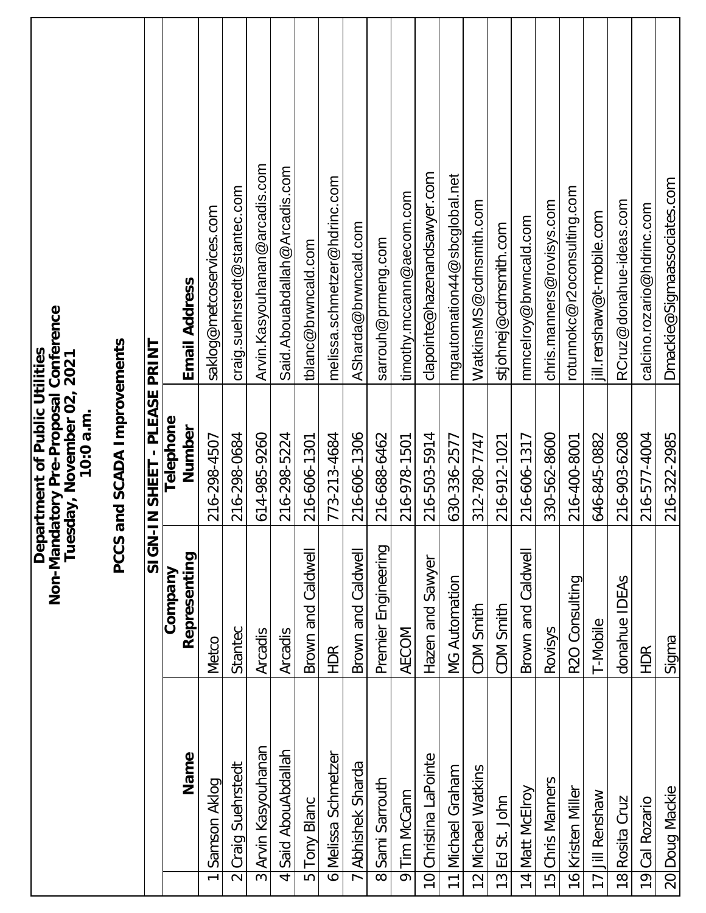|                    |                       |                         | Non-Mandatory Pre-Proposal Conference<br>Department of Public Utilities<br>Tuesday, November 02, 2021<br>10:0 a.m. |                                 |
|--------------------|-----------------------|-------------------------|--------------------------------------------------------------------------------------------------------------------|---------------------------------|
|                    |                       | PCCS                    | and SCADA Improvements                                                                                             |                                 |
|                    |                       | SIGN-                   | IN SHEET - PLEASE PRINT                                                                                            |                                 |
|                    | Name                  | Representing<br>Company | Telephone<br>Number                                                                                                | <b>Email Address</b>            |
| $\overline{ }$     | Samson Aklog          | <b>Metco</b>            | 216-298-4507                                                                                                       | saklog@metcoservices.com        |
|                    | 2 Craig Suehrstedt    | Stantec                 | 216-298-0684                                                                                                       | craig.suehrstedt@stantec.com    |
|                    | 3 Arvin Kasyouhanan   | Arcadis                 | 614-985-9260                                                                                                       | Arvin. Kasyouhanan @arcadis.com |
| 4                  | Said AbouAbdallah     | Arcadis                 | 216-298-5224                                                                                                       | Said.Abouabdallah@Arcadis.com   |
| 5                  | <b>Tony Blanc</b>     | Brown and Caldwell      | 216-606-1301                                                                                                       | tblanc@brwncald.com             |
|                    | 6 Melissa Schmetzer   | <b>HDR</b>              | 773-213-4684                                                                                                       | melissa.schmetzer@hdrinc.com    |
|                    | 7 Abhishek Sharda     | Brown and Caldwell      | 216-606-1306                                                                                                       | ASharda@brwncald.com            |
|                    | 8<br>Sami Sarrouth    | Premier Engineering     | 216-688-6462                                                                                                       | sarrouh@prmeng.com              |
| $\overline{\circ}$ | Tim McCann            | AECOM                   | 216-978-1501                                                                                                       | timothy.mccann@aecom.com        |
|                    | 10 Christina LaPointe | Hazen and Sawyer        | 216-503-5914                                                                                                       | clapointe@hazenandsawyer.com    |
|                    | 11 Michael Graham     | <b>MG Automation</b>    | 630-336-2577                                                                                                       | mgautomation44@sbcglobal.net    |
|                    | 12 Michael Watkins    | CDM Smith               | 312-780-7747                                                                                                       | WatkinsMS@cdmsmith.com          |
| $\frac{13}{2}$     | Ed St. John           | CDM Smith               | 216-912-1021                                                                                                       | stjohnej@cdmsmith.com           |
|                    | 14 Matt McElroy       | Brown and Caldwell      | 216-606-1317                                                                                                       | mmcelroy@brwncald.com           |
|                    | 15 Chris Manners      | Rovisys                 | 330-562-8600                                                                                                       | chris.manners@rovisys.com       |
|                    | 16 Kristen Miller     | R2O Consulting          | 216-400-8001                                                                                                       | rotunnokc@r2oconsulting.com     |
|                    | 17 Jill Renshaw       | T-Mobile                | 646-845-0882                                                                                                       | jill.renshaw@t-mobile.com       |
| $\frac{8}{3}$      | Rosita Cruz           | <b>IDEAS</b><br>donahue | 216-903-6208                                                                                                       | RCruz@donahue-ideas.com         |
|                    | 19 Cal Rozario        | <b>HDR</b>              | 216-577-4004                                                                                                       | calcino.rozario@hdrinc.com      |
|                    | 20 Doug Mackie        | Sigma                   | 216-322-2985                                                                                                       | Dmackie@Sigmaassociates.com     |